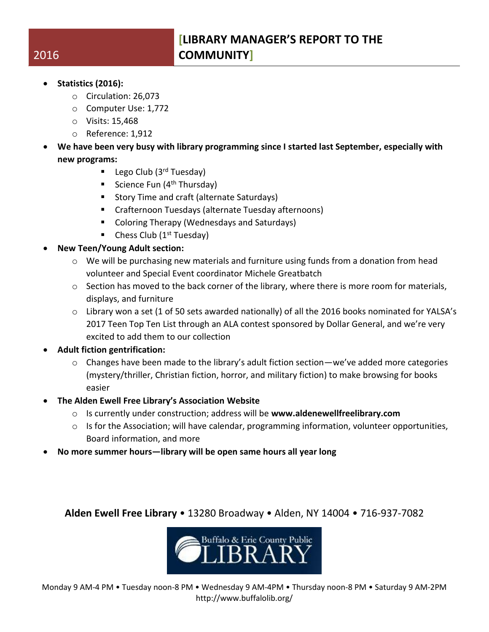## **[LIBRARY MANAGER'S REPORT TO THE COMMUNITY]**

- **Statistics (2016):**
	- o Circulation: 26,073
	- o Computer Use: 1,772
	- o Visits: 15,468
	- o Reference: 1,912
- **We have been very busy with library programming since I started last September, especially with new programs:**
	- Lego Club  $(3<sup>rd</sup> Tuesday)$
	- Science Fun  $(4<sup>th</sup> Thursday)$
	- **Story Time and craft (alternate Saturdays)**
	- Crafternoon Tuesdays (alternate Tuesday afternoons)
	- Coloring Therapy (Wednesdays and Saturdays)
	- $\blacksquare$  Chess Club (1<sup>st</sup> Tuesday)
- **New Teen/Young Adult section:**
	- $\circ$  We will be purchasing new materials and furniture using funds from a donation from head volunteer and Special Event coordinator Michele Greatbatch
	- $\circ$  Section has moved to the back corner of the library, where there is more room for materials, displays, and furniture
	- $\circ$  Library won a set (1 of 50 sets awarded nationally) of all the 2016 books nominated for YALSA's 2017 Teen Top Ten List through an ALA contest sponsored by Dollar General, and we're very excited to add them to our collection
- **Adult fiction gentrification:**
	- $\circ$  Changes have been made to the library's adult fiction section—we've added more categories (mystery/thriller, Christian fiction, horror, and military fiction) to make browsing for books easier
- **The Alden Ewell Free Library's Association Website**
	- o Is currently under construction; address will be **www.aldenewellfreelibrary.com**
	- o Is for the Association; will have calendar, programming information, volunteer opportunities, Board information, and more
- **No more summer hours—library will be open same hours all year long**

**Alden Ewell Free Library** • 13280 Broadway • Alden, NY 14004 • 716-937-7082



Monday 9 AM-4 PM • Tuesday noon-8 PM • Wednesday 9 AM-4PM • Thursday noon-8 PM • Saturday 9 AM-2PM http://www.buffalolib.org/

## 2016